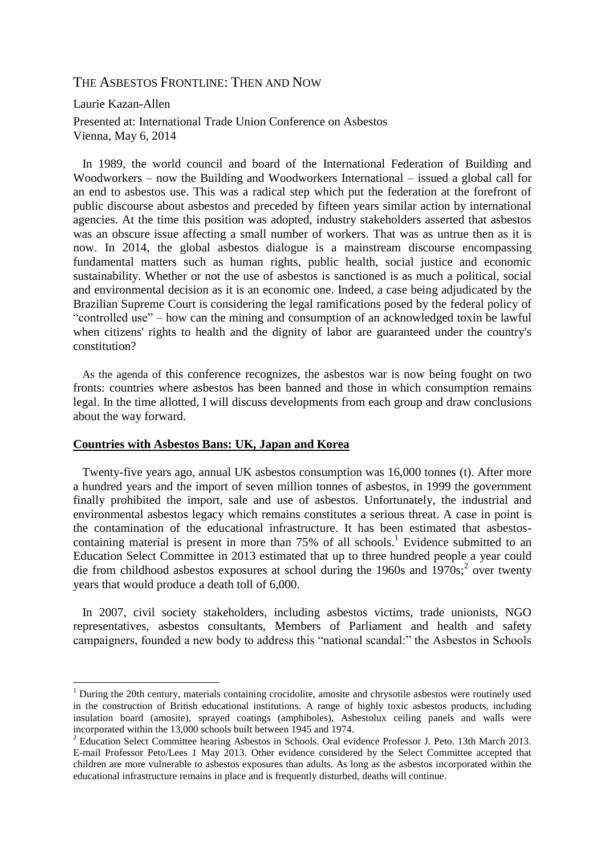# THE ASBESTOS FRONTLINE: THEN AND NOW

Laurie Kazan-Allen

1

Presented at: International Trade Union Conference on Asbestos Vienna, May 6, 2014

 In 1989, the world council and board of the International Federation of Building and Woodworkers – now the Building and Woodworkers International – issued a global call for an end to asbestos use. This was a radical step which put the federation at the forefront of public discourse about asbestos and preceded by fifteen years similar action by international agencies. At the time this position was adopted, industry stakeholders asserted that asbestos was an obscure issue affecting a small number of workers. That was as untrue then as it is now. In 2014, the global asbestos dialogue is a mainstream discourse encompassing fundamental matters such as human rights, public health, social justice and economic sustainability. Whether or not the use of asbestos is sanctioned is as much a political, social and environmental decision as it is an economic one. Indeed, a case being adjudicated by the Brazilian Supreme Court is considering the legal ramifications posed by the federal policy of "controlled use" – how can the mining and consumption of an acknowledged toxin be lawful when citizens' rights to health and the dignity of labor are guaranteed under the country's constitution?

 As the agenda of this conference recognizes, the asbestos war is now being fought on two fronts: countries where asbestos has been banned and those in which consumption remains legal. In the time allotted, I will discuss developments from each group and draw conclusions about the way forward.

## **Countries with Asbestos Bans: UK, Japan and Korea**

 Twenty-five years ago, annual UK asbestos consumption was 16,000 tonnes (t). After more a hundred years and the import of seven million tonnes of asbestos, in 1999 the government finally prohibited the import, sale and use of asbestos. Unfortunately, the industrial and environmental asbestos legacy which remains constitutes a serious threat. A case in point is the contamination of the educational infrastructure. It has been estimated that asbestoscontaining material is present in more than  $75\%$  of all schools.<sup>1</sup> Evidence submitted to an Education Select Committee in 2013 estimated that up to three hundred people a year could die from childhood asbestos exposures at school during the 1960s and  $1970s$ ;<sup>2</sup> over twenty years that would produce a death toll of 6,000.

 In 2007, civil society stakeholders, including asbestos victims, trade unionists, NGO representatives, asbestos consultants, Members of Parliament and health and safety campaigners, founded a new body to address this "national scandal:" the Asbestos in Schools

<sup>&</sup>lt;sup>1</sup> During the 20th century, materials containing crocidolite, amosite and chrysotile asbestos were routinely used in the construction of British educational institutions. A range of highly toxic asbestos products, including insulation board (amosite), sprayed coatings (amphiboles), Asbestolux ceiling panels and walls were incorporated within the 13,000 schools built between 1945 and 1974.

<sup>&</sup>lt;sup>2</sup> Education Select Committee hearing Asbestos in Schools. Oral evidence Professor J. Peto. 13th March 2013. E-mail Professor Peto/Lees 1 May 2013. Other evidence considered by the Select Committee accepted that children are more vulnerable to asbestos exposures than adults. As long as the asbestos incorporated within the educational infrastructure remains in place and is frequently disturbed, deaths will continue.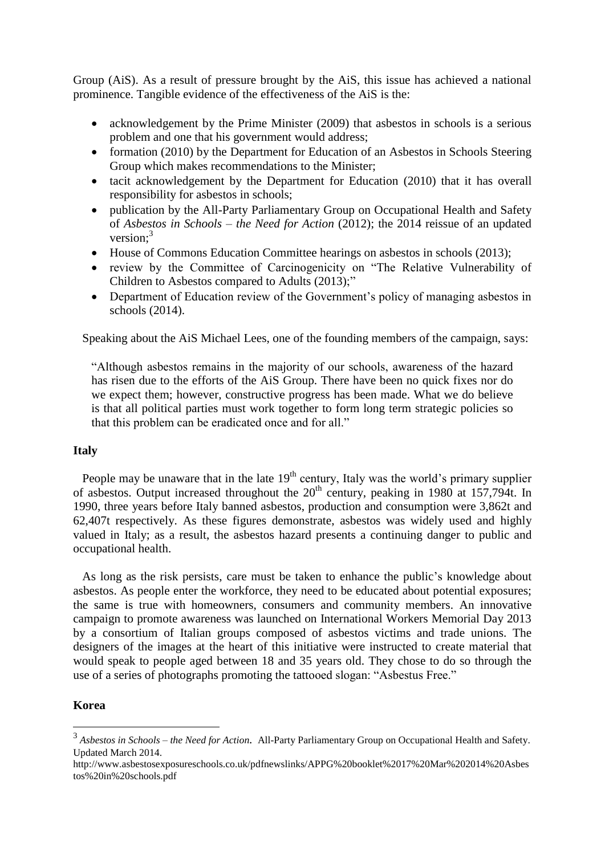Group (AiS). As a result of pressure brought by the AiS, this issue has achieved a national prominence. Tangible evidence of the effectiveness of the AiS is the:

- acknowledgement by the Prime Minister (2009) that asbestos in schools is a serious problem and one that his government would address;
- formation (2010) by the Department for Education of an Asbestos in Schools Steering Group which makes recommendations to the Minister;
- tacit acknowledgement by the Department for Education (2010) that it has overall responsibility for asbestos in schools;
- publication by the All-Party Parliamentary Group on Occupational Health and Safety of *Asbestos in Schools – the Need for Action* (2012); the 2014 reissue of an updated version:<sup>3</sup>
- House of Commons Education Committee hearings on asbestos in schools (2013);
- review by the Committee of Carcinogenicity on "The Relative Vulnerability of Children to Asbestos compared to Adults (2013);"
- Department of Education review of the Government's policy of managing asbestos in schools (2014).

Speaking about the AiS Michael Lees, one of the founding members of the campaign, says:

"Although asbestos remains in the majority of our schools, awareness of the hazard has risen due to the efforts of the AiS Group. There have been no quick fixes nor do we expect them; however, constructive progress has been made. What we do believe is that all political parties must work together to form long term strategic policies so that this problem can be eradicated once and for all."

## **Italy**

People may be unaware that in the late  $19<sup>th</sup>$  century, Italy was the world's primary supplier of asbestos. Output increased throughout the  $20<sup>th</sup>$  century, peaking in 1980 at 157,794t. In 1990, three years before Italy banned asbestos, production and consumption were 3,862t and 62,407t respectively. As these figures demonstrate, asbestos was widely used and highly valued in Italy; as a result, the asbestos hazard presents a continuing danger to public and occupational health.

 As long as the risk persists, care must be taken to enhance the public's knowledge about asbestos. As people enter the workforce, they need to be educated about potential exposures; the same is true with homeowners, consumers and community members. An innovative campaign to promote awareness was launched on International Workers Memorial Day 2013 by a consortium of Italian groups composed of asbestos victims and trade unions. The designers of the images at the heart of this initiative were instructed to create material that would speak to people aged between 18 and 35 years old. They chose to do so through the use of a series of photographs promoting the tattooed slogan: "Asbestus Free."

### **Korea**

1

<sup>3</sup> *Asbestos in Schools – the Need for Action.* All-Party Parliamentary Group on Occupational Health and Safety. Updated March 2014.

http://www.asbestosexposureschools.co.uk/pdfnewslinks/APPG%20booklet%2017%20Mar%202014%20Asbes tos%20in%20schools.pdf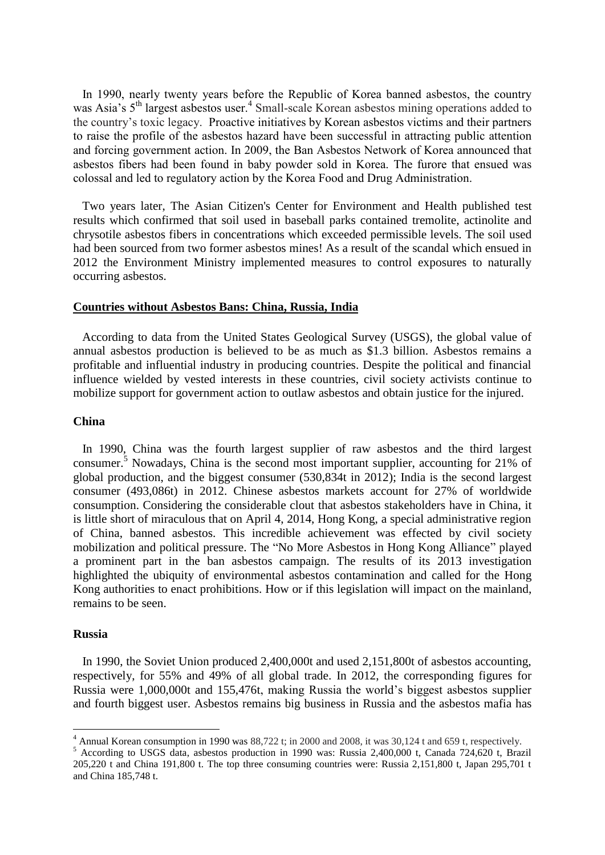In 1990, nearly twenty years before the Republic of Korea banned asbestos, the country was Asia's 5<sup>th</sup> largest asbestos user.<sup>4</sup> Small-scale Korean asbestos mining operations added to the country's toxic legacy. Proactive initiatives by Korean asbestos victims and their partners to raise the profile of the asbestos hazard have been successful in attracting public attention and forcing government action. In 2009, the Ban Asbestos Network of Korea announced that asbestos fibers had been found in baby powder sold in Korea. The furore that ensued was colossal and led to regulatory action by the Korea Food and Drug Administration.

 Two years later, The Asian Citizen's Center for Environment and Health published test results which confirmed that soil used in baseball parks contained tremolite, actinolite and chrysotile asbestos fibers in concentrations which exceeded permissible levels. The soil used had been sourced from two former asbestos mines! As a result of the scandal which ensued in 2012 the Environment Ministry implemented measures to control exposures to naturally occurring asbestos.

# **Countries without Asbestos Bans: China, Russia, India**

 According to data from the United States Geological Survey (USGS), the global value of annual asbestos production is believed to be as much as \$1.3 billion. Asbestos remains a profitable and influential industry in producing countries. Despite the political and financial influence wielded by vested interests in these countries, civil society activists continue to mobilize support for government action to outlaw asbestos and obtain justice for the injured.

#### **China**

 In 1990, China was the fourth largest supplier of raw asbestos and the third largest consumer.<sup>5</sup> Nowadays, China is the second most important supplier, accounting for 21% of global production, and the biggest consumer (530,834t in 2012); India is the second largest consumer (493,086t) in 2012. Chinese asbestos markets account for 27% of worldwide consumption. Considering the considerable clout that asbestos stakeholders have in China, it is little short of miraculous that on April 4, 2014, Hong Kong, a special administrative region of China, banned asbestos. This incredible achievement was effected by civil society mobilization and political pressure. The "No More Asbestos in Hong Kong Alliance" played a prominent part in the ban asbestos campaign. The results of its 2013 investigation highlighted the ubiquity of environmental asbestos contamination and called for the Hong Kong authorities to enact prohibitions. How or if this legislation will impact on the mainland, remains to be seen.

#### **Russia**

1

 In 1990, the Soviet Union produced 2,400,000t and used 2,151,800t of asbestos accounting, respectively, for 55% and 49% of all global trade. In 2012, the corresponding figures for Russia were 1,000,000t and 155,476t, making Russia the world's biggest asbestos supplier and fourth biggest user. Asbestos remains big business in Russia and the asbestos mafia has

<sup>&</sup>lt;sup>4</sup> Annual Korean consumption in 1990 was 88,722 t; in 2000 and 2008, it was 30,124 t and 659 t, respectively.

<sup>5</sup> According to USGS data, asbestos production in 1990 was: Russia 2,400,000 t, Canada 724,620 t, Brazil 205,220 t and China 191,800 t. The top three consuming countries were: Russia 2,151,800 t, Japan 295,701 t and China 185,748 t.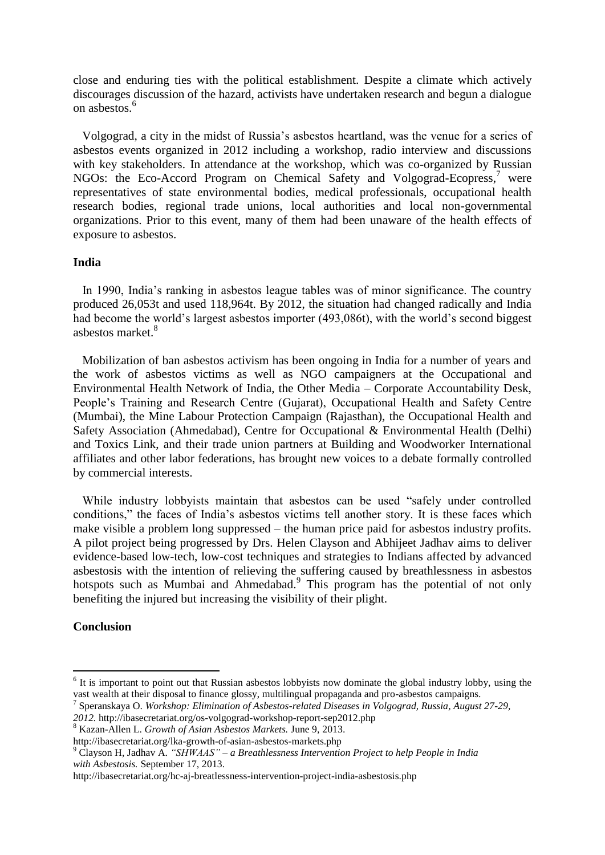close and enduring ties with the political establishment. Despite a climate which actively discourages discussion of the hazard, activists have undertaken research and begun a dialogue on asbestos<sup>6</sup>

 Volgograd, a city in the midst of Russia's asbestos heartland, was the venue for a series of asbestos events organized in 2012 including a workshop, radio interview and discussions with key stakeholders. In attendance at the workshop, which was co-organized by Russian NGOs: the Eco-Accord Program on Chemical Safety and Volgograd-Ecopress, <sup>7</sup> were representatives of state environmental bodies, medical professionals, occupational health research bodies, regional trade unions, local authorities and local non-governmental organizations. Prior to this event, many of them had been unaware of the health effects of exposure to asbestos.

## **India**

 In 1990, India's ranking in asbestos league tables was of minor significance. The country produced 26,053t and used 118,964t. By 2012, the situation had changed radically and India had become the world's largest asbestos importer (493,086t), with the world's second biggest asbestos market.<sup>8</sup>

 Mobilization of ban asbestos activism has been ongoing in India for a number of years and the work of asbestos victims as well as NGO campaigners at the Occupational and Environmental Health Network of India, the Other Media – Corporate Accountability Desk, People's Training and Research Centre (Gujarat), Occupational Health and Safety Centre (Mumbai), the Mine Labour Protection Campaign (Rajasthan), the Occupational Health and Safety Association (Ahmedabad), Centre for Occupational & Environmental Health (Delhi) and Toxics Link, and their trade union partners at Building and Woodworker International affiliates and other labor federations, has brought new voices to a debate formally controlled by commercial interests.

 While industry lobbyists maintain that asbestos can be used "safely under controlled conditions," the faces of India's asbestos victims tell another story. It is these faces which make visible a problem long suppressed – the human price paid for asbestos industry profits. A pilot project being progressed by Drs. Helen Clayson and Abhijeet Jadhav aims to deliver evidence-based low-tech, low-cost techniques and strategies to Indians affected by advanced asbestosis with the intention of relieving the suffering caused by breathlessness in asbestos hotspots such as Mumbai and Ahmedabad.<sup>9</sup> This program has the potential of not only benefiting the injured but increasing the visibility of their plight.

### **Conclusion**

<u>.</u>

<sup>&</sup>lt;sup>6</sup> It is important to point out that Russian asbestos lobbyists now dominate the global industry lobby, using the vast wealth at their disposal to finance glossy, multilingual propaganda and pro-asbestos campaigns.

<sup>7</sup> Speranskaya O. *Workshop: Elimination of Asbestos-related Diseases in Volgograd, Russia, August 27-29,* 

*<sup>2012.</sup>* http://ibasecretariat.org/os-volgograd-workshop-report-sep2012.php

<sup>8</sup> Kazan-Allen L. *Growth of Asian Asbestos Markets.* June 9, 2013.

http://ibasecretariat.org/lka-growth-of-asian-asbestos-markets.php

<sup>9</sup> Clayson H, Jadhav A. *"SHWAAS" – a Breathlessness Intervention Project to help People in India with Asbestosis.* September 17, 2013.

http://ibasecretariat.org/hc-aj-breatlessness-intervention-project-india-asbestosis.php